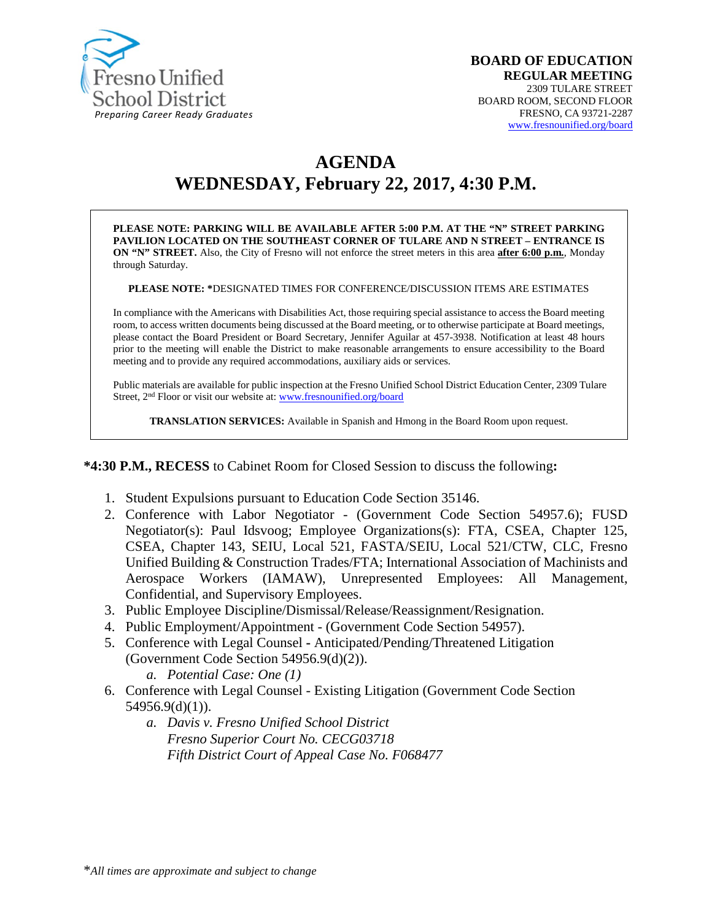

# **AGENDA WEDNESDAY, February 22, 2017, 4:30 P.M.**

**PLEASE NOTE: PARKING WILL BE AVAILABLE AFTER 5:00 P.M. AT THE "N" STREET PARKING PAVILION LOCATED ON THE SOUTHEAST CORNER OF TULARE AND N STREET – ENTRANCE IS ON "N" STREET.** Also, the City of Fresno will not enforce the street meters in this area **after 6:00 p.m.**, Monday through Saturday.

**PLEASE NOTE: \***DESIGNATED TIMES FOR CONFERENCE/DISCUSSION ITEMS ARE ESTIMATES

In compliance with the Americans with Disabilities Act, those requiring special assistance to access the Board meeting room, to access written documents being discussed at the Board meeting, or to otherwise participate at Board meetings, please contact the Board President or Board Secretary, Jennifer Aguilar at 457-3938. Notification at least 48 hours prior to the meeting will enable the District to make reasonable arrangements to ensure accessibility to the Board meeting and to provide any required accommodations, auxiliary aids or services.

Public materials are available for public inspection at the Fresno Unified School District Education Center, 2309 Tulare Street, 2<sup>nd</sup> Floor or visit our website at: [www.fresnounified.org/board](http://www.fresnounified.org/board)

**TRANSLATION SERVICES:** Available in Spanish and Hmong in the Board Room upon request.

#### **\*4:30 P.M., RECESS** to Cabinet Room for Closed Session to discuss the following**:**

- 1. Student Expulsions pursuant to Education Code Section 35146.
- 2. Conference with Labor Negotiator (Government Code Section 54957.6); FUSD Negotiator(s): Paul Idsvoog; Employee Organizations(s): FTA, CSEA, Chapter 125, CSEA, Chapter 143, SEIU, Local 521, FASTA/SEIU, Local 521/CTW, CLC, Fresno Unified Building & Construction Trades/FTA; International Association of Machinists and Aerospace Workers (IAMAW), Unrepresented Employees: All Management, Confidential, and Supervisory Employees.
- 3. Public Employee Discipline/Dismissal/Release/Reassignment/Resignation.
- 4. Public Employment/Appointment (Government Code Section 54957).
- 5. Conference with Legal Counsel **-** Anticipated/Pending/Threatened Litigation (Government Code Section 54956.9(d)(2)).
	- *a. Potential Case: One (1)*
- 6. Conference with Legal Counsel Existing Litigation (Government Code Section 54956.9(d)(1)).
	- *a. Davis v. Fresno Unified School District Fresno Superior Court No. CECG03718 Fifth District Court of Appeal Case No. F068477*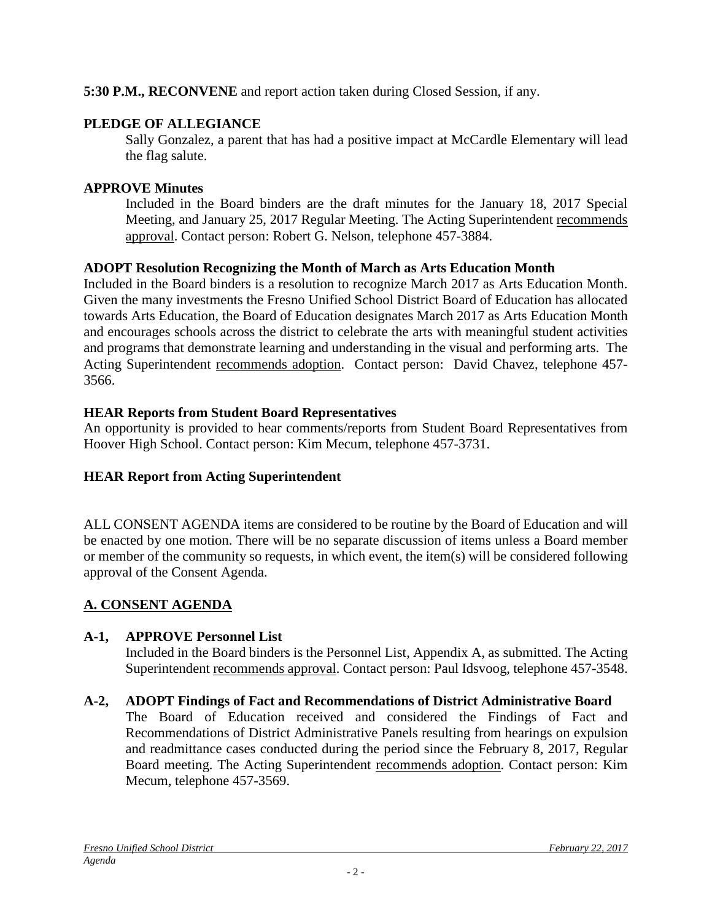### **5:30 P.M., RECONVENE** and report action taken during Closed Session, if any.

### **PLEDGE OF ALLEGIANCE**

Sally Gonzalez, a parent that has had a positive impact at McCardle Elementary will lead the flag salute.

### **APPROVE Minutes**

Included in the Board binders are the draft minutes for the January 18, 2017 Special Meeting, and January 25, 2017 Regular Meeting. The Acting Superintendent recommends approval. Contact person: Robert G. Nelson, telephone 457-3884.

### **ADOPT Resolution Recognizing the Month of March as Arts Education Month**

Included in the Board binders is a resolution to recognize March 2017 as Arts Education Month. Given the many investments the Fresno Unified School District Board of Education has allocated towards Arts Education, the Board of Education designates March 2017 as Arts Education Month and encourages schools across the district to celebrate the arts with meaningful student activities and programs that demonstrate learning and understanding in the visual and performing arts. The Acting Superintendent recommends adoption. Contact person: David Chavez, telephone 457- 3566.

## **HEAR Reports from Student Board Representatives**

An opportunity is provided to hear comments/reports from Student Board Representatives from Hoover High School. Contact person: Kim Mecum, telephone 457-3731.

## **HEAR Report from Acting Superintendent**

ALL CONSENT AGENDA items are considered to be routine by the Board of Education and will be enacted by one motion. There will be no separate discussion of items unless a Board member or member of the community so requests, in which event, the item(s) will be considered following approval of the Consent Agenda.

## **A. CONSENT AGENDA**

### **A-1, APPROVE Personnel List**

Included in the Board binders is the Personnel List, Appendix A, as submitted. The Acting Superintendent recommends approval. Contact person: Paul Idsvoog, telephone 457-3548.

## **A-2, ADOPT Findings of Fact and Recommendations of District Administrative Board**

The Board of Education received and considered the Findings of Fact and Recommendations of District Administrative Panels resulting from hearings on expulsion and readmittance cases conducted during the period since the February 8, 2017, Regular Board meeting. The Acting Superintendent recommends adoption. Contact person: Kim Mecum, telephone 457-3569.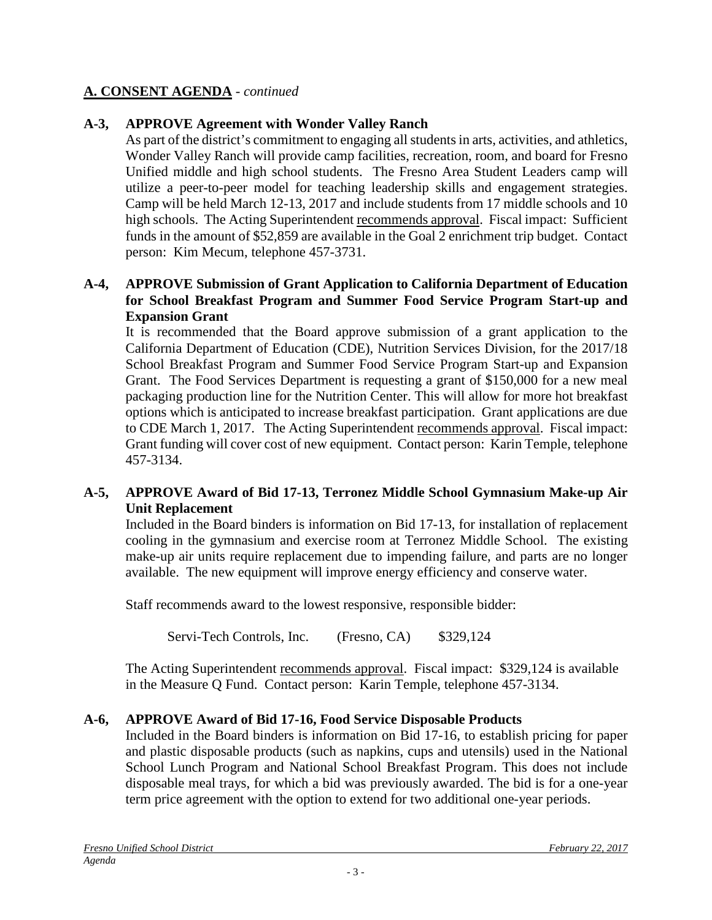### **A. CONSENT AGENDA** - *continued*

### **A-3, APPROVE Agreement with Wonder Valley Ranch**

As part of the district's commitment to engaging all students in arts, activities, and athletics, Wonder Valley Ranch will provide camp facilities, recreation, room, and board for Fresno Unified middle and high school students. The Fresno Area Student Leaders camp will utilize a peer-to-peer model for teaching leadership skills and engagement strategies. Camp will be held March 12-13, 2017 and include students from 17 middle schools and 10 high schools. The Acting Superintendent recommends approval. Fiscal impact: Sufficient funds in the amount of \$52,859 are available in the Goal 2 enrichment trip budget. Contact person: Kim Mecum, telephone 457-3731.

#### **A-4, APPROVE Submission of Grant Application to California Department of Education for School Breakfast Program and Summer Food Service Program Start-up and Expansion Grant**

It is recommended that the Board approve submission of a grant application to the California Department of Education (CDE), Nutrition Services Division, for the 2017/18 School Breakfast Program and Summer Food Service Program Start-up and Expansion Grant. The Food Services Department is requesting a grant of \$150,000 for a new meal packaging production line for the Nutrition Center. This will allow for more hot breakfast options which is anticipated to increase breakfast participation. Grant applications are due to CDE March 1, 2017. The Acting Superintendent recommends approval. Fiscal impact: Grant funding will cover cost of new equipment. Contact person: Karin Temple, telephone 457-3134.

### **A-5, APPROVE Award of Bid 17-13, Terronez Middle School Gymnasium Make-up Air Unit Replacement**

Included in the Board binders is information on Bid 17-13, for installation of replacement cooling in the gymnasium and exercise room at Terronez Middle School. The existing make-up air units require replacement due to impending failure, and parts are no longer available. The new equipment will improve energy efficiency and conserve water.

Staff recommends award to the lowest responsive, responsible bidder:

Servi-Tech Controls, Inc. (Fresno, CA) \$329,124

The Acting Superintendent recommends approval. Fiscal impact: \$329,124 is available in the Measure Q Fund. Contact person:Karin Temple, telephone 457-3134.

### **A-6, APPROVE Award of Bid 17-16, Food Service Disposable Products**

Included in the Board binders is information on Bid 17-16, to establish pricing for paper and plastic disposable products (such as napkins, cups and utensils) used in the National School Lunch Program and National School Breakfast Program. This does not include disposable meal trays, for which a bid was previously awarded. The bid is for a one-year term price agreement with the option to extend for two additional one-year periods.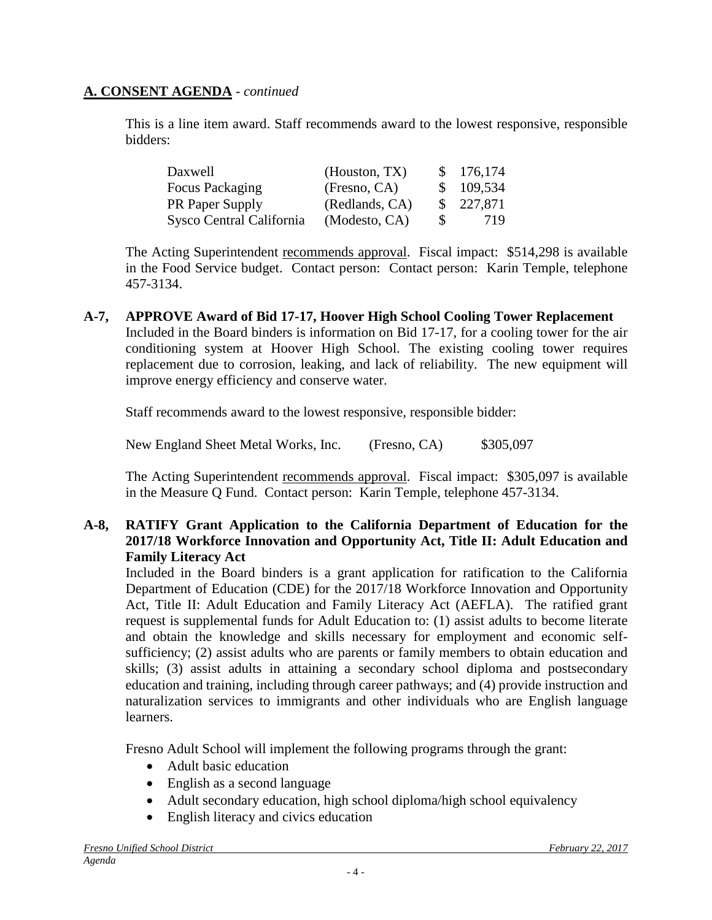### **A. CONSENT AGENDA** - *continued*

This is a line item award. Staff recommends award to the lowest responsive, responsible bidders:

| Daxwell                  | (Houston, TX)  |          | \$176,174 |
|--------------------------|----------------|----------|-----------|
| Focus Packaging          | (Fresno, CA)   |          | \$109,534 |
| <b>PR</b> Paper Supply   | (Redlands, CA) |          | \$227,871 |
| Sysco Central California | (Modesto, CA)  | <b>S</b> | 719       |

The Acting Superintendent recommends approval. Fiscal impact: \$514,298 is available in the Food Service budget. Contact person: Contact person:Karin Temple, telephone 457-3134.

**A-7, APPROVE Award of Bid 17-17, Hoover High School Cooling Tower Replacement** Included in the Board binders is information on Bid 17-17, for a cooling tower for the air conditioning system at Hoover High School. The existing cooling tower requires replacement due to corrosion, leaking, and lack of reliability. The new equipment will improve energy efficiency and conserve water.

Staff recommends award to the lowest responsive, responsible bidder:

New England Sheet Metal Works, Inc. (Fresno, CA) \$305,097

The Acting Superintendent recommends approval. Fiscal impact: \$305,097 is available in the Measure Q Fund. Contact person: Karin Temple, telephone 457-3134.

### **A-8, RATIFY Grant Application to the California Department of Education for the 2017/18 Workforce Innovation and Opportunity Act, Title II: Adult Education and Family Literacy Act**

Included in the Board binders is a grant application for ratification to the California Department of Education (CDE) for the 2017/18 Workforce Innovation and Opportunity Act, Title II: Adult Education and Family Literacy Act (AEFLA). The ratified grant request is supplemental funds for Adult Education to: (1) assist adults to become literate and obtain the knowledge and skills necessary for employment and economic selfsufficiency; (2) assist adults who are parents or family members to obtain education and skills; (3) assist adults in attaining a secondary school diploma and postsecondary education and training, including through career pathways; and (4) provide instruction and naturalization services to immigrants and other individuals who are English language learners.

Fresno Adult School will implement the following programs through the grant:

- Adult basic education
- English as a second language
- Adult secondary education, high school diploma/high school equivalency
- English literacy and civics education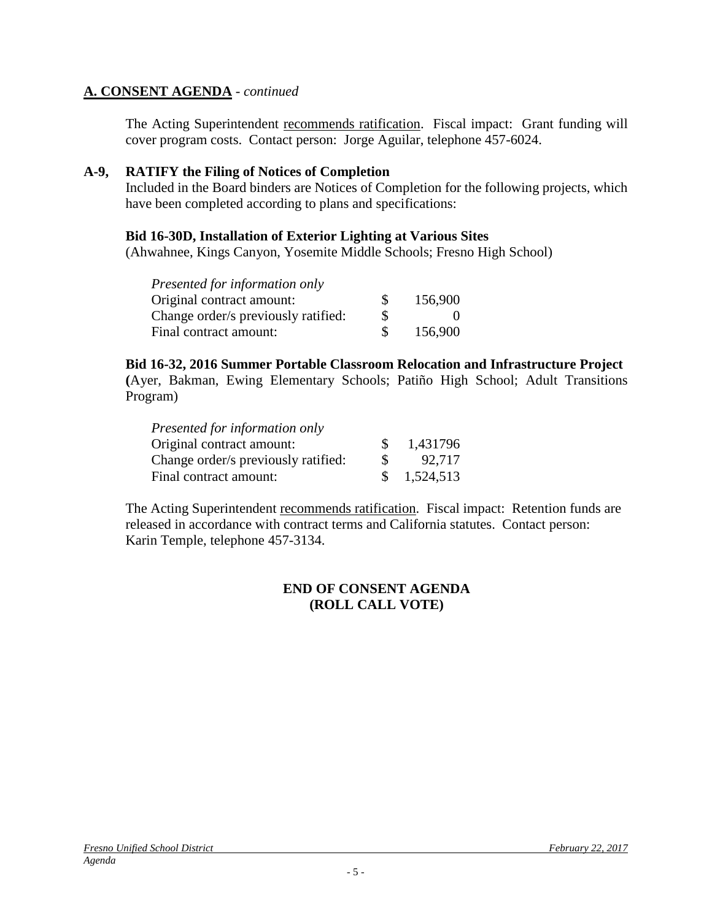#### **A. CONSENT AGENDA** - *continued*

The Acting Superintendent recommends ratification. Fiscal impact:Grant funding will cover program costs. Contact person: Jorge Aguilar, telephone 457-6024.

#### **A-9, RATIFY the Filing of Notices of Completion**

Included in the Board binders are Notices of Completion for the following projects, which have been completed according to plans and specifications:

#### **Bid 16-30D, Installation of Exterior Lighting at Various Sites**

(Ahwahnee, Kings Canyon, Yosemite Middle Schools; Fresno High School)

| Presented for information only      |    |         |
|-------------------------------------|----|---------|
| Original contract amount:           | S. | 156,900 |
| Change order/s previously ratified: | S  |         |
| Final contract amount:              |    | 156,900 |

#### **Bid 16-32, 2016 Summer Portable Classroom Relocation and Infrastructure Project**

**(**Ayer, Bakman, Ewing Elementary Schools; Patiño High School; Adult Transitions Program)

| Presented for information only      |          |           |
|-------------------------------------|----------|-----------|
| Original contract amount:           |          | 1,431796  |
| Change order/s previously ratified: | <b>S</b> | 92,717    |
| Final contract amount:              |          | 1,524,513 |

The Acting Superintendent recommends ratification. Fiscal impact:Retention funds are released in accordance with contract terms and California statutes. Contact person: Karin Temple, telephone 457-3134.

### **END OF CONSENT AGENDA (ROLL CALL VOTE)**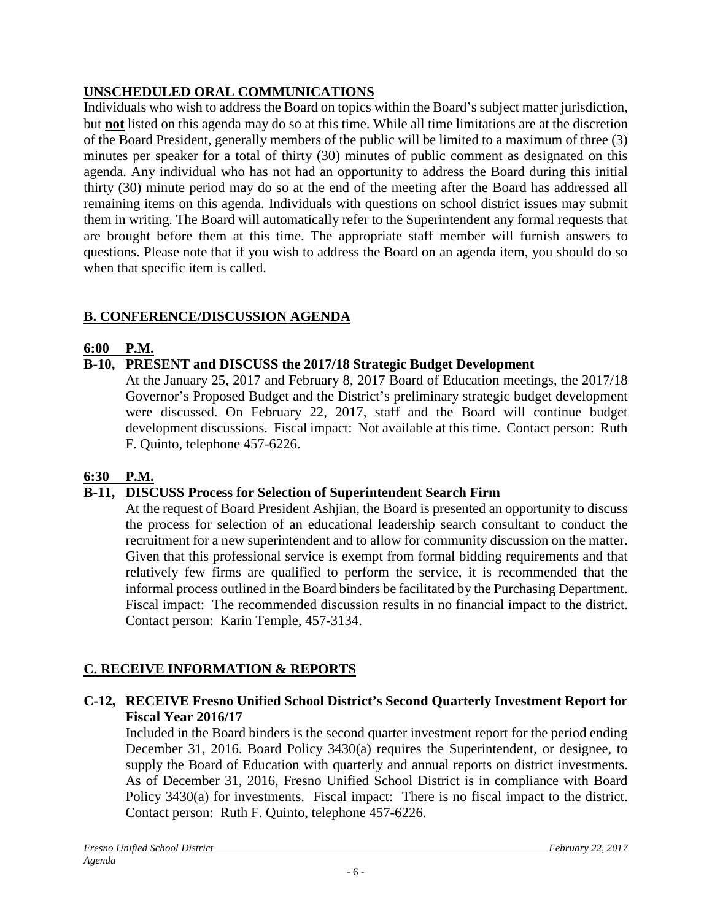## **UNSCHEDULED ORAL COMMUNICATIONS**

Individuals who wish to address the Board on topics within the Board's subject matter jurisdiction, but **not** listed on this agenda may do so at this time. While all time limitations are at the discretion of the Board President, generally members of the public will be limited to a maximum of three (3) minutes per speaker for a total of thirty (30) minutes of public comment as designated on this agenda. Any individual who has not had an opportunity to address the Board during this initial thirty (30) minute period may do so at the end of the meeting after the Board has addressed all remaining items on this agenda. Individuals with questions on school district issues may submit them in writing. The Board will automatically refer to the Superintendent any formal requests that are brought before them at this time. The appropriate staff member will furnish answers to questions. Please note that if you wish to address the Board on an agenda item, you should do so when that specific item is called.

### **B. CONFERENCE/DISCUSSION AGENDA**

### **6:00 P.M.**

### **B-10, PRESENT and DISCUSS the 2017/18 Strategic Budget Development**

At the January 25, 2017 and February 8, 2017 Board of Education meetings, the 2017/18 Governor's Proposed Budget and the District's preliminary strategic budget development were discussed. On February 22, 2017, staff and the Board will continue budget development discussions. Fiscal impact: Not available at this time. Contact person: Ruth F. Quinto, telephone 457-6226.

### **6:30 P.M.**

### **B-11, DISCUSS Process for Selection of Superintendent Search Firm**

At the request of Board President Ashjian, the Board is presented an opportunity to discuss the process for selection of an educational leadership search consultant to conduct the recruitment for a new superintendent and to allow for community discussion on the matter. Given that this professional service is exempt from formal bidding requirements and that relatively few firms are qualified to perform the service, it is recommended that the informal process outlined in the Board binders be facilitated by the Purchasing Department. Fiscal impact: The recommended discussion results in no financial impact to the district. Contact person: Karin Temple, 457-3134.

### **C. RECEIVE INFORMATION & REPORTS**

### **C-12, RECEIVE Fresno Unified School District's Second Quarterly Investment Report for Fiscal Year 2016/17**

Included in the Board binders is the second quarter investment report for the period ending December 31, 2016. Board Policy 3430(a) requires the Superintendent, or designee, to supply the Board of Education with quarterly and annual reports on district investments. As of December 31, 2016, Fresno Unified School District is in compliance with Board Policy 3430(a) for investments. Fiscal impact: There is no fiscal impact to the district. Contact person: Ruth F. Quinto, telephone 457-6226.